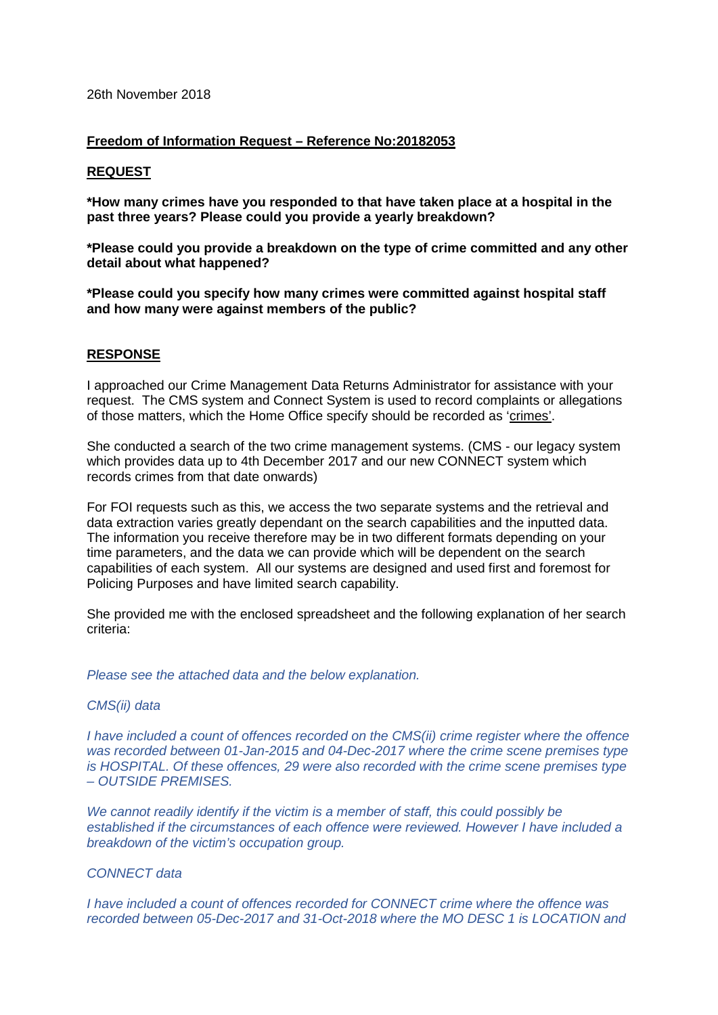#### **Freedom of Information Request – Reference No:20182053**

#### **REQUEST**

**\*How many crimes have you responded to that have taken place at a hospital in the past three years? Please could you provide a yearly breakdown?**

**\*Please could you provide a breakdown on the type of crime committed and any other detail about what happened?**

**\*Please could you specify how many crimes were committed against hospital staff and how many were against members of the public?**

# **RESPONSE**

I approached our Crime Management Data Returns Administrator for assistance with your request. The CMS system and Connect System is used to record complaints or allegations of those matters, which the Home Office specify should be recorded as 'crimes'.

She conducted a search of the two crime management systems. (CMS - our legacy system which provides data up to 4th December 2017 and our new CONNECT system which records crimes from that date onwards)

For FOI requests such as this, we access the two separate systems and the retrieval and data extraction varies greatly dependant on the search capabilities and the inputted data. The information you receive therefore may be in two different formats depending on your time parameters, and the data we can provide which will be dependent on the search capabilities of each system. All our systems are designed and used first and foremost for Policing Purposes and have limited search capability.

She provided me with the enclosed spreadsheet and the following explanation of her search criteria:

*Please see the attached data and the below explanation.*

# *CMS(ii) data*

*I have included a count of offences recorded on the CMS(ii) crime register where the offence was recorded between 01-Jan-2015 and 04-Dec-2017 where the crime scene premises type is HOSPITAL. Of these offences, 29 were also recorded with the crime scene premises type – OUTSIDE PREMISES.* 

*We cannot readily identify if the victim is a member of staff, this could possibly be established if the circumstances of each offence were reviewed. However I have included a breakdown of the victim's occupation group.*

## *CONNECT data*

*I have included a count of offences recorded for CONNECT crime where the offence was recorded between 05-Dec-2017 and 31-Oct-2018 where the MO DESC 1 is LOCATION and*